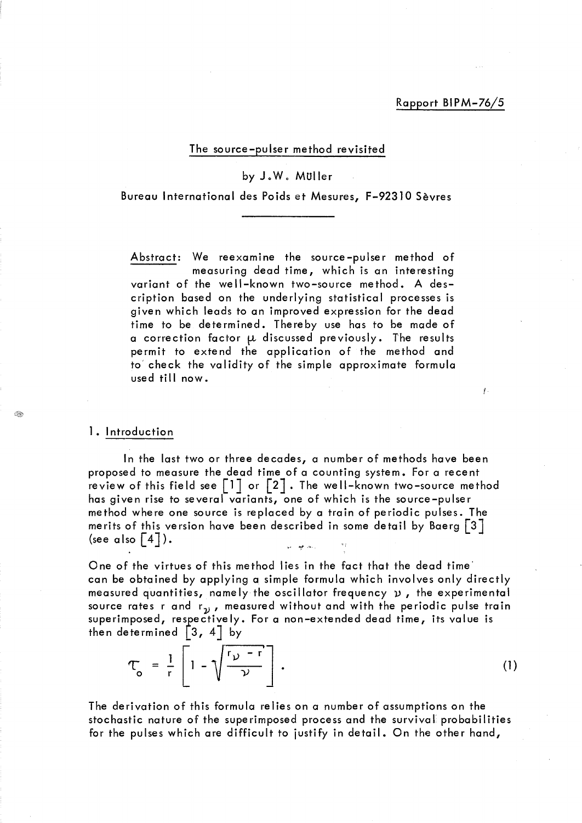ţ.

# The source-pulser method revisited

# byJoWo MUller

Bureau International des Poids et Mesures, F-92310 Sèvres

Abstract: We reexamine the source-pulser method of measuring dead time, which is an interesting variant of the well-known two-source method. A description based on the underlying statistical processes is given which leads to an improved expression for the dead time to be determined. Thereby use has to be made of a correction factor  $\mu$  discussed previously. The results permit to extend the application of the method and to check the validity of the simple approximate formula used till now.

## 1. Introduction

్లేష్

ln the last two or three decades, a number of methods have been proposed to measure the dead time of a counting system. For a recent review of this field see  $\lceil 1 \rceil$  or  $\lceil 2 \rceil$ . The well-known two-source method has given rise to several variants, one of which is the source-pulser method where one source is replaced by a train of periodic pulses. The merits of this version have been described in some detail by Baerg  $\lceil 3 \rceil$ (see also  $\lceil 4 \rceil$ ). أرابعه أفيعا أأنبوا

One of the virtues of this method lies in the fact that the dead time' can be obtained by applying a simple formula which involves only directly measured quantities, namely the oscillator frequency  $\nu$ , the experimental source rates r and  $r_{\rm\bf \nu}$ , measured without and with the periodic pulse train superimposed, respectively. For a non-extended dead time, its value is then determined  $\begin{bmatrix} 3 \\ 4 \end{bmatrix}$  by

$$
\tau_o = \frac{1}{r} \left[ 1 - \sqrt{\frac{r_{\mathcal{V}} - r}{\mathcal{V}}} \right]. \tag{1}
$$

The derivation of this formula relies on a number of assumptions on the stochastic nature of the superimposed process and the survival probabilities for the pulses which are difficult to justify in detail. On the other hand,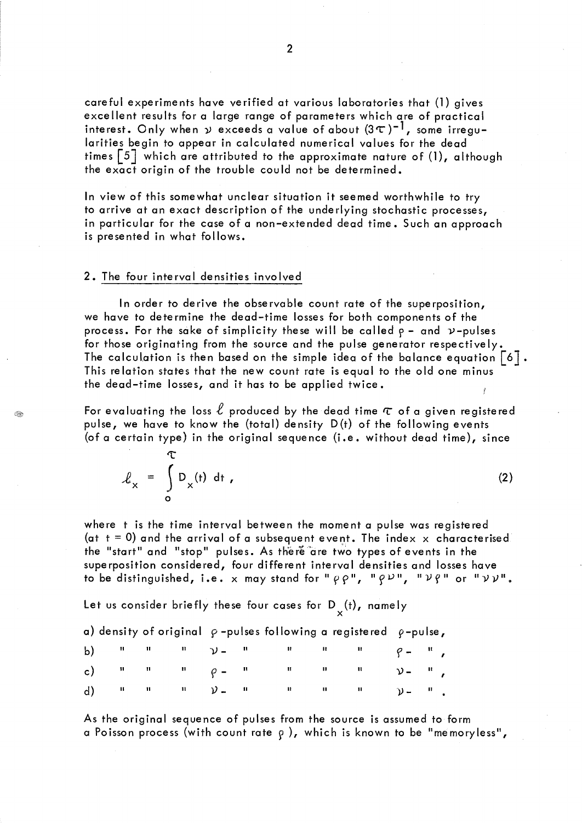careful experiments have verified at various laboratories that (1) gives excellent results for a large range of parameters which are of practical interest. Only when  $\psi$  exceeds a value of about  $(3\tau)^{-1}$ , some irregularities begin to appear in calculated numerical values for the dead times  $\lceil 5 \rceil$  which are attributed to the approximate nature of (1), although the exact origin of the trouble could not be determined.

ln view of this somewhat unclear situation it seemed worthwhile to try to arrive at an exact description of the underlying stochastic processes, in particular for the case of a non-extended dead time. Such an approach is presented in what follows.

#### 2. The four interval densities involved

ln order to derive the observable count rate of the superposition, we have to determine the dead-time losses for both components of the process. For the sake of simplicity these will be called  $\rho$  - and  $\nu$ -pulses for those originating from the source and the pulse generator respectively. The calculation is then based on the simple idea of the balance equation  $\lceil 6 \rceil$ . This relation states that the new count rate is equal to the old one minus the dead-time losses, and it has to be applied twice.

For evaluating the loss  $\ell$  produced by the dead time  $\tau$  of a given registered pulse, we have to know the (total) density D(t) of the following events (of a certain type) in the original sequence (i.e. without dead time), since

 $\tau$  $\int_{x}$  =  $\int_{x}^{x} D_{x}(t) dt$ , (2) o

€

where t is the time interval between the moment a pulse was registered (at  $t = 0$ ) and the arrival of a subsequent event. The index x characterised the "start" and "stop" pulses. As there are two types of events in the superposition considered, four different interval densities and losses have to be distinguished, i.e. x may stand for " $\rho \rho$ ", " $\rho \nu$ ", " $\nu \rho$ " or " $\nu \nu$ ".

Let us consider briefly these four cases for  $D_{y}(t)$ , namely

a) density of original  $\rho$  -pulses following a registered  $\rho$ -pulse,

|  |  | b) $n = n - n$ $y = n - n - n - n$ $y = n$                                                                                                                                                                                                                                                                                                             |  |  |  |
|--|--|--------------------------------------------------------------------------------------------------------------------------------------------------------------------------------------------------------------------------------------------------------------------------------------------------------------------------------------------------------|--|--|--|
|  |  | c) $\frac{n}{2}$ $\frac{n}{2}$ $\frac{n}{2}$ $\frac{n}{2}$ $\frac{n}{2}$ $\frac{n}{2}$ $\frac{n}{2}$ $\frac{n}{2}$ $\frac{n}{2}$ $\frac{n}{2}$ $\frac{n}{2}$ $\frac{n}{2}$ $\frac{n}{2}$ $\frac{n}{2}$ $\frac{n}{2}$ $\frac{n}{2}$ $\frac{n}{2}$ $\frac{n}{2}$ $\frac{n}{2}$ $\frac{n}{2}$ $\frac{n}{2}$ $\frac{n}{2}$ $\frac{n}{2}$ $\frac{n}{2}$ $\$ |  |  |  |
|  |  | d) $\mathbf{u} = \mathbf{u} - \mathbf{u} - \mathbf{v} = \mathbf{u} - \mathbf{u} - \mathbf{u} - \mathbf{u} - \mathbf{v} = \mathbf{u}$                                                                                                                                                                                                                   |  |  |  |

As the original sequence of pulses from the source is assumed to form a Poisson process (with count rate  $\rho$  ), which is known to be "memoryless",

2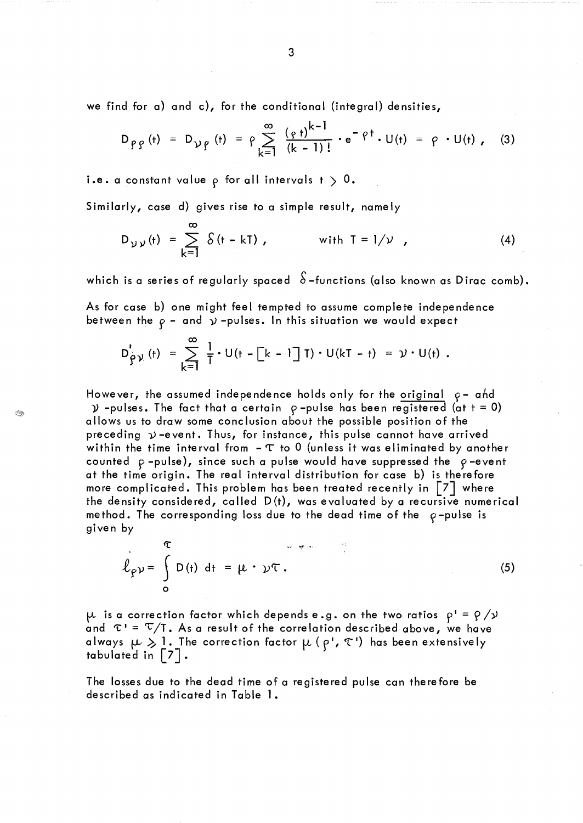we find for a) and c), for the conditional (integral) densities,

$$
D_{\rho\rho}(t) = D_{\nu\rho}(t) = \rho \sum_{k=1}^{\infty} \frac{(\rho t)^{k-1}}{(k-1)!} \cdot e^{-\rho t} \cdot U(t) = \rho \cdot U(t)
$$
, (3)

i.e. a constant value  $\rho$  for all intervals  $t > 0$ .

Similarly, case d) gives rise to a simple result, namely

D<sub>yy</sub>(t) = 
$$
\sum_{k=1}^{\infty} \delta(t - kT)
$$
, with T = 1/ $\nu$ , (4)

which is a series of regularly spaced  $S$ -functions (also known as Dirac comb).

As for case b) one might feel tempted to assume complete independence between the  $\rho$  - and  $\gamma$  -pulses. In this situation we would expect

$$
D'_{\hat{y}\gamma}(t) = \sum_{k=1}^{\infty} \frac{1}{T} \cdot U(t - [k-1]T) \cdot U(kT - t) = \gamma \cdot U(t).
$$

However, the assumed independence holds only for the original  $\rho$ - ahd  $\mathcal{Y}$  -pulses. The fact that a certain  $\rho$ -pulse has been registered (at t = 0) allows us to draw some conclusion about the possible position of the preceding  $\nu$ -event. Thus, for instance, this pulse cannot have arrived within the time interval from  $\tau$  to 0 (unless it was eliminated by another counted  $\rho$ -pulse), since such a pulse would have suppressed the  $\rho$ -event at the time origin. The real interval distribution for case b) is therefore more complicated. This problem has been treated recently in  $\lceil 7 \rceil$  where the density considered, called D(t), was evaluated by a recursive numerical method. The corresponding loss due to the dead time of the  $\rho$ -pulse is given by

$$
\hat{\ell}_{\rho\nu} = \int_{0}^{\tau} D(t) dt = \mu \cdot \nu \tau.
$$

S

(5)

 $\mu$  is a correction factor which depends e.g. on the two ratios  $\rho' = \rho / \nu$ and  $\tau' = \tau / T$ . As a result of the correlation described above, we have always  $\mu \geqslant 1$ . The correction factor  $\mu$  ( $\rho$ ',  $\tau$ ') has been extensively tabulated in  $|7|$ .

The losses due to the dead time of a registered pulse can therefore be described as indicated in Table 1.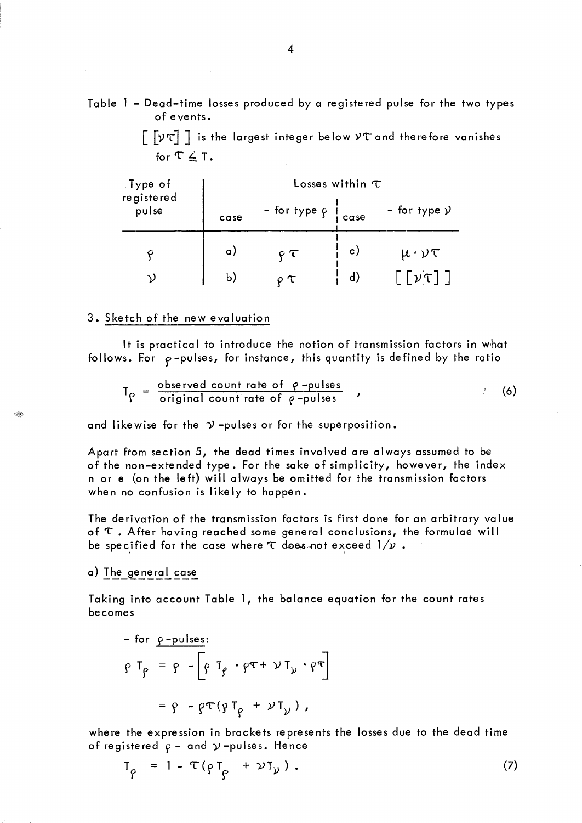Table l - Dead-time losses produced by a registered pulse for the two types of e ve nts.

 $\lceil \lceil \sqrt{v \tau} \rceil \rceil$  is the largest integer below  $v \tau$  and therefore vanishes for  $\tau \leq \tau$ .

| Type of<br>registered | Losses within $\tau$ |                               |              |                                        |  |  |  |  |
|-----------------------|----------------------|-------------------------------|--------------|----------------------------------------|--|--|--|--|
| pulse                 | case                 | - for type $\rho$ $\int$ case |              | - for type $\mathcal{Y}$               |  |  |  |  |
|                       | a)                   | P                             | $\mathbf{c}$ | $\mu \cdot \nu \tau$                   |  |  |  |  |
| V)                    | b)                   | T                             | $\mathsf{d}$ | $\lceil \lceil \nu \tau \rceil \rceil$ |  |  |  |  |

### 3. Sketch of the new evaluation

It is practical to introduce the notion of transmission factors in what follows. For  $\rho$ -pulses, for instance, this quantity is defined by the ratio

$$
T_{\rho} = \frac{\text{observed count rate of } \rho - \text{pulses}}{\text{original count rate of } \rho - \text{pulses}} \tag{6}
$$

and likewise for the  $\mathcal{Y}$ -pulses or for the superposition.

Apart from section 5, the dead times involved are always assumed to be of the non-extended type. For the sake of simplicity, however, the index n or e (on the left) will always be omitted for the transmission factors when no confusion is likely to happen.

The derivation of the transmission factors is first done for an arbitrary value of  $\tau$ . After having reached some general conclusions, the formulae will be specified for the case where  $\tau$  does not exceed  $1/\nu$ .

a) The general case

**BR** 

Taking into account Table 1, the balance equation for the count rates becomes

$$
\rho T_{\rho} = \rho - \left[ \rho T_{\rho} \cdot \rho \tau + \nu T_{\nu} \cdot \rho \tau \right]
$$

$$
= \rho - \rho \tau (\rho T_{\rho} + \nu T_{\nu}),
$$

where the expression in brackets represents the losses due to the dead time of registered  $\rho$  - and  $\gamma$  -pulses. Hence

$$
T_{\rho} = 1 - \tau (\rho T_{\rho} + \nu T_{\nu}). \qquad (7)
$$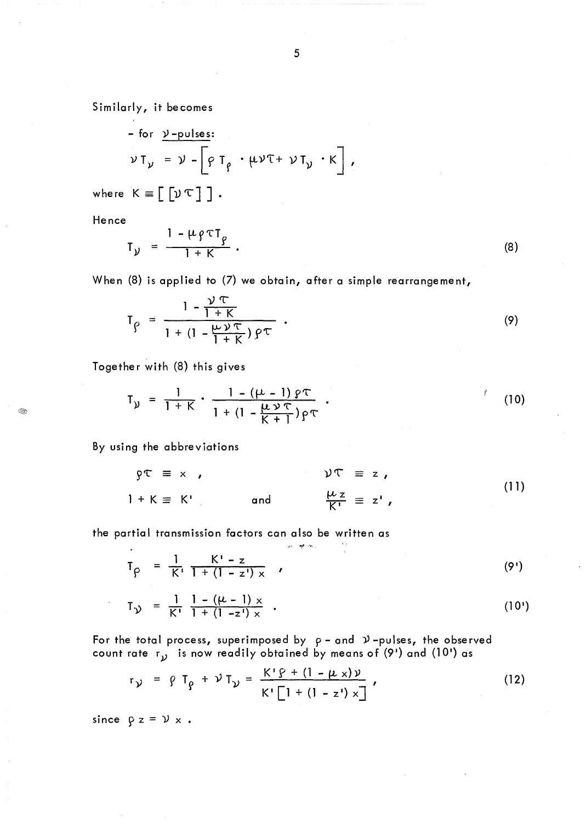Similarly, it becomes

For y-pulses:  
\n
$$
\nu T_y = \nu - \left[ \rho T_\rho \cdot \mu \nu T + \nu T_y \cdot K \right],
$$

where  $K = [\nu \tau]$ .

Hence

 $\mathbb{C}$ 

$$
T_{y} = \frac{1 - \mu \rho \tau T_{\rho}}{1 + K} \tag{8}
$$

When (8) is applied to (7) we obtain, after a simple rearrangement,

$$
T_{\rho} = \frac{1 - \frac{\nu \tau}{1 + K}}{1 + (1 - \frac{\mu \nu \tau}{1 + K}) \rho \tau} \ . \tag{9}
$$

Together with (8) this gives

$$
T_{\nu} = \frac{1}{1 + K} \cdot \frac{1 - (\mu - 1) \rho \tau}{1 + (1 - \frac{\mu \nu \tau}{K + 1}) \rho \tau} \ . \tag{10}
$$

By using the abbreviations

$$
\begin{aligned}\n\mathfrak{P} \mathbb{T} &\equiv x, \\
\mathfrak{P} \mathbb{T} &\equiv x, \\
\mathfrak{P} \mathbb{T} &\equiv z, \\
\mathfrak{P} \mathbb{T} &\equiv z, \\
\mathfrak{P} \mathbb{T} &\equiv z, \\
\mathfrak{P} \mathbb{T} &\equiv z, \\
\mathfrak{P} \mathbb{T} &\equiv z, \\
\mathfrak{P} \mathbb{T} &\equiv z, \\
\mathfrak{P} \mathbb{T} &\equiv z, \\
\mathfrak{P} \mathbb{T} &\equiv z, \\
\mathfrak{P} \mathbb{T} &\equiv z, \\
\mathfrak{P} \mathbb{T} &\equiv z, \\
\mathfrak{P} \mathbb{T} &\equiv z, \\
\mathfrak{P} \mathbb{T} &\equiv z, \\
\mathfrak{P} \mathbb{T} &\equiv z, \\
\mathfrak{P} \mathbb{T} &\equiv z, \\
\mathfrak{P} \mathbb{T} &\equiv z, \\
\mathfrak{P} \mathbb{T} &\equiv z, \\
\mathfrak{P} \mathbb{T} &\equiv z, \\
\mathfrak{P} \mathbb{T} &\equiv z, \\
\mathfrak{P} \mathbb{T} &\equiv z, \\
\mathfrak{P} \mathbb{T} &\equiv z, \\
\mathfrak{P} \mathbb{T} &\equiv z, \\
\mathfrak{P} \mathbb{T} &\equiv z, \\
\mathfrak{P} \mathbb{T} &\equiv z, \\
\mathfrak{P} \mathbb{T} &\equiv z, \\
\mathfrak{P} \mathbb{T} &\equiv z, \\
\mathfrak{P} \mathbb{T} &\equiv z, \\
\mathfrak{P} \mathbb{T} &\equiv z, \\
\mathfrak{P} \mathbb{T} &\equiv z, \\
\mathfrak{P} \mathbb{T} &\equiv z, \\
\mathfrak{P} \mathbb{T} &\equiv z, \\
\mathfrak{P} \mathbb{T} &\equiv z, \\
\mathfrak{P} \mathbb{T} &\equiv z, \\
\mathfrak{P} \mathbb{T} &\equiv z, \\
\mathfrak{P} \mathbb{T} &\equiv z, \\
\mathfrak{P} \mathbb{T} &\equiv z, \\
\mathfrak{P} \mathbb{T} &
$$

the partial transmission factors can also be written as

$$
T_{\rho} = \frac{1}{K!} \frac{K! - z}{1 + (1 - z!) \times} \qquad (9')
$$

$$
T_{\gamma} = \frac{1}{K'} \frac{1 - (\mu - 1) \times}{1 + (1 - z') \times} \tag{10'}
$$

For the total process, superimposed by  $\rho$  – and  $\mathcal{V}$  –pulses, the observed count rate  $r_{\mathcal{V}}$  is now readily obtained by means of (9') and (10') as

and off their

$$
r_{\mathcal{Y}} = \rho T_{\rho} + \mathcal{Y} T_{\mathcal{Y}} = \frac{K' \rho + (1 - \mu \times) \nu}{K' \left[ 1 + (1 - z') \times \right]} \,, \tag{12}
$$

since  $\beta$  z =  $\nu$  x.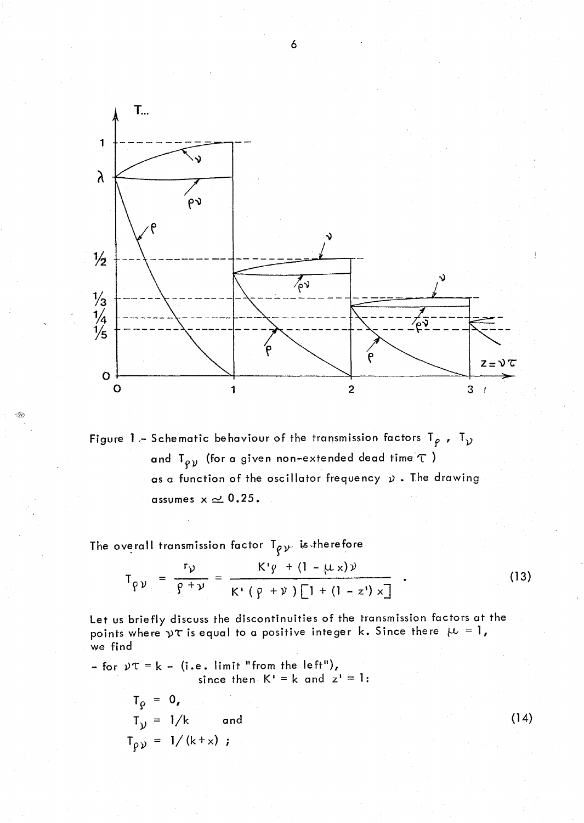

Figure 1 - Schematic behaviour of the transmission factors  $T_{\rho}$ ,  $T_{\gamma}$ and  $T_{\rho\, \gamma}$  (for a given non-extended dead time  $\tau$  ) as a function of the oscillator frequency  $\nu$ . The drawing assumes  $x \approx 0.25$ .

The overall transmission factor  $T_{\rho \nu}$  is therefore

$$
T_{\rho\nu} = \frac{r_{\nu}}{\rho + \nu} = \frac{K'\rho + (1 - \mu \times)\nu}{K'\left(\rho + \nu\right)\left[1 + (1 - z')\times\right]} \quad . \tag{13}
$$

Let us briefly discuss the discontinuities of the transmission factors at the points where  $\gamma\tau$  is equal to a positive integer k. Since there  $\mu = 1$ , we find

- for  $y\tau = k -$  (i.e. limit "from the left"), since then  $K^* = k$  and  $z^* = 1$ :

 $T_{\rho} = 0$ ,  $T_{y} = 1/k$  and  $T_{\rho y} = 1/(k+x)$ ;

6

 $(14)$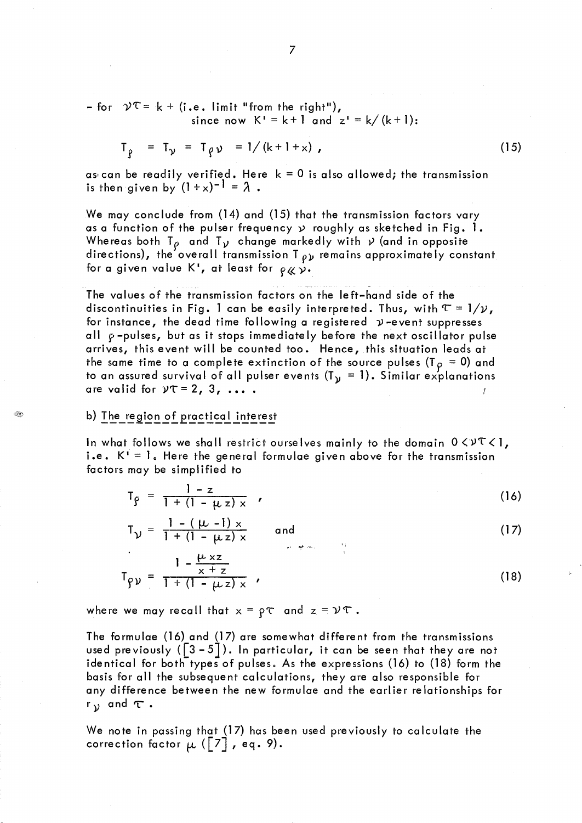- for  $\mathcal{V}^{\top} = k + (i.e.$  limit "from the right"), since now  $K' = k+1$  and  $z' = k/(k+1)$ :

$$
T_{\rho} = T_{\gamma} = T_{\rho} \gamma = 1/(k+1+x),
$$

as can be readily verified. Here  $k = 0$  is also allowed; the transmission is then given by  $(1+x)^{-1} = \lambda$ .

We may conclude from (14) and (15) that the transmission factors vary as a function of the pulser frequency  $y$  roughly as sketched in Fig. 1. Whereas both T<sub>p</sub> and T<sub>y</sub> change markedly with  $\gamma$  (and in opposite directions), the overall transmission T  $\rho_{\mathcal{V}}$  remains approximately constant for a given value K<sup>1</sup>, at least for  $\rho \chi \gamma$ .

The values of the transmission factors on the left-hand side of the discontinuities in Fig. 1 can be easily interpreted. Thus, with  $\tau = 1/\nu$ , for instance, the dead time following a registered  $\nu$ -event suppresses all  $\rho$ -pulses, but as it stops immediately before the next oscillator pulse arrives, this event will be counted too. Hence, this situation leads at the same time to a complete extinction of the source pulses (T<sub>P</sub> = 0) and to an assured survival of all pulser events  $(T_y = 1)$ . Similar explanations are valid for  $yT = 2$ , 3, ....

# b) The region of practical interest

In what follows we shall restrict ourselves mainly to the domain  $0 \leq v \leq 1$ , i.e.  $K^{\dagger} = 1$ . Here the general formulae given above for the transmission factors may be simplified to

$$
T_{\varrho} = \frac{1-z}{1 + (1 - \mu z) \times} \tag{16}
$$

$$
T_{\mathcal{V}} = \frac{1 - (\mu - 1) \times}{1 + (1 - \mu z) \times} \quad \text{and} \quad (17)
$$

$$
T_{\rho \nu} = \frac{1 - \frac{\mu \times z}{x + z}}{1 + (1 - \mu z) \times} \tag{18}
$$

where we may recall that  $x = \rho \tau$  and  $z = \nu \tau$ .

The formulae (16) and (17) are somewhat different from the transmissions used previously ( $\lceil 3 - 5 \rceil$ ). In particular, it can be seen that they are not identical for both types of pulses. As the expressions (16) to (18) form the basis for all the subsequent calculations, they are also responsible for any difference between the new formulae and the earlier relationships for  $r_{\lambda}$  and  $\tau$ .

We note in passing that (17) has been used previously to calculate the correction factor  $\mu$  ( $\lceil 7 \rceil$ , eq. 9).

 $(15)$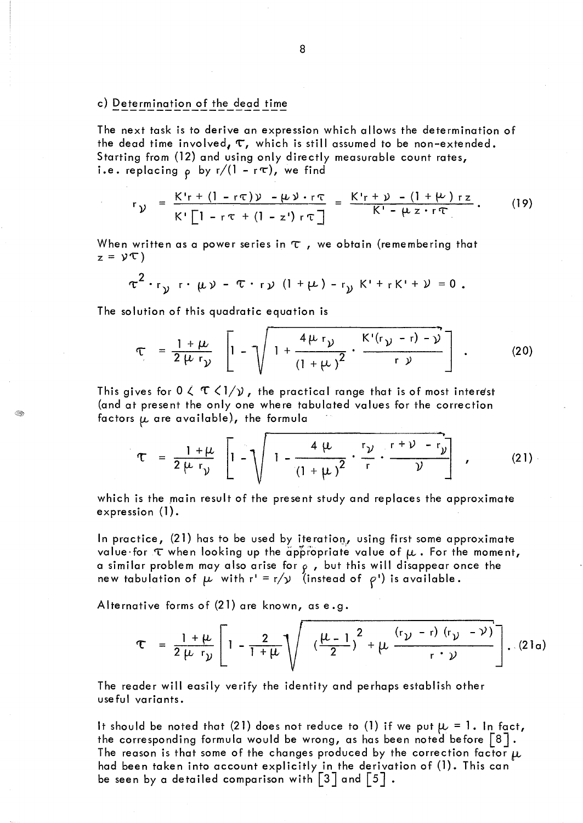## c) Determination of the dead time

The next task is to derive an expression which allows the determination of the dead time involved,  $\tau$ , which is still assumed to be non-extended. Starting from (12) and using only directly measurable count rates, i.e. replacing  $\rho$  by r/(1 - r $\tau$ ), we find

$$
r_{\mathcal{Y}} = \frac{K'r + (1 - r\tau)\mathcal{Y} - \mu\mathcal{Y} \cdot r\tau}{K'\left[1 - r\tau + (1 - z')r\tau\right]} = \frac{K'r + \mathcal{Y} - (1 + \mu)rz}{K' - \mu z \cdot r\tau}.
$$
 (19)

When written as a power series in  $\tau$  , we obtain (remembering that  $z = \gamma \tau$ )

$$
\tau^2 \cdot r_{\gamma} \cdot \mu \nu - \tau \cdot r_{\gamma} (1 + \mu) - r_{\gamma} K' + r K' + \nu = 0.
$$

The solution of this quadratic equation is

ंके

$$
\tau = \frac{1+\mu}{2\mu r_{\mathcal{Y}}} \left[ 1 - \sqrt{1 + \frac{4\mu r_{\mathcal{Y}}}{(1+\mu)^2} \cdot \frac{K'(r_{\mathcal{Y}} - r) - \mathcal{Y}}{r_{\mathcal{Y}}}} \right].
$$
 (20)

This gives for  $0 \lt \mathcal{T} \lt 1/\mathcal{Y}$ , the practical range that is of most interest (and at present the only one where tabulated values for the correction factors  $\mu$  are available), the formula

$$
\tau = \frac{1+\mu}{2\mu r_{\nu}} \left[ 1 - \sqrt{1 - \frac{4\mu}{(1+\mu)^2} \cdot \frac{r_{\nu}}{r} \cdot \frac{r^{2} + \nu^{2}}{r^{2}} \right], \qquad (21)
$$

which is the main result of the present study and replaces the approximate expression  $(1)$ .

In practice,  $(21)$  has to be used by iteration, using first some approximate value for  $\tau$  when looking up the appropriate value of  $\mu$  . For the moment, a similar problem may also arise for  $\wp$  , but this will disappear once the new tabulation of  $\mu$  with  $r' = r/\nu$  (instead of  $\rho'$ ) is available.

Alternative forms of  $(21)$  are known, as e.g.

$$
\tau = \frac{1+\mu}{2\mu r_{\nu}} \left[ 1 - \frac{2}{1+\mu} \sqrt{\left( \frac{\mu-1}{2} \right)^2 + \mu \frac{(r_{\nu} - r) (r_{\nu} - \nu)}{r \cdot \nu}} \right]. (21a)
$$

The reader will easily verify the identity and perhaps establish other useful variants.

It should be noted that (21) does not reduce to (1) if we put  $\mu = 1$ . In fact, the corresponding formula would be wrong, as has been noted before  $\lfloor 8 \rfloor$ . The reason is that some of the changes produced by the correction factor  $\mu$ had been taken into account explicitly in the derivation of  $(1)$ . This can be seen by a detailed comparison with  $\left[3\right]$  and  $\left\lceil 5\right\rceil$  .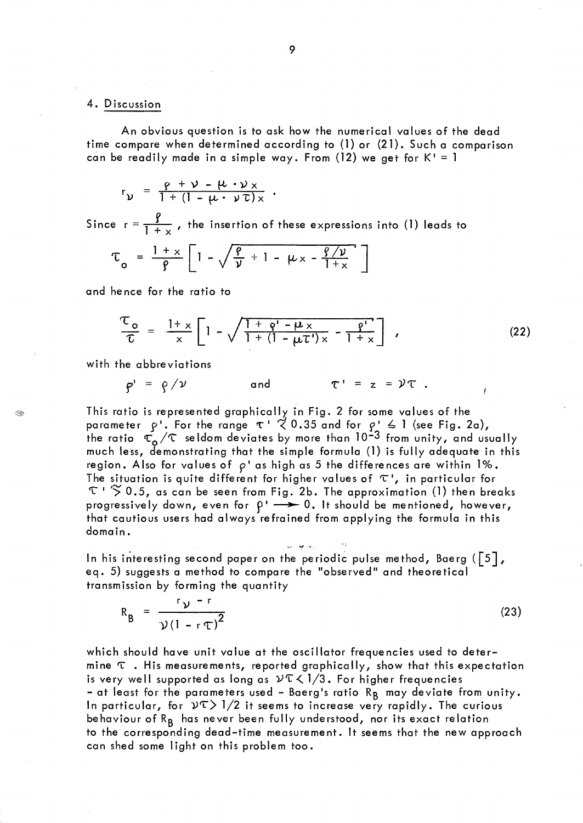#### 4. Discussion

An obvious question is to ask how the numerical values of the dead time compare when determined according to (1) or (21). Such a comparison can be readily made in a simple way. From (12) we get for  $K' = 1$ 

$$
r_{\nu} = \frac{\rho + \nu - \mu \cdot \nu_{x}}{1 + (1 - \mu \cdot \nu \tau)_{x}}.
$$

Since  $r = \frac{p}{1 + x}$ , the insertion of these expressions into (1) leads to

$$
\tau_o = \frac{1+x}{\beta} \left[ 1 - \sqrt{\frac{\rho}{\nu} + 1 - \mu \times - \frac{\rho/\nu}{1+x}} \right]
$$

and hence for the ratio to

$$
\frac{\tau_o}{\tau} = \frac{1 + x}{x} \left[ 1 - \sqrt{\frac{1 + \rho' - \mu \times}{1 + (1 - \mu \tau') \times} - \frac{\rho'}{1 + \times}} \right],
$$
\n(22)

with the abbreviations

$$
\varphi' = \varphi / \nu \qquad \text{and} \qquad \tau' = z = \nu \tau \ .
$$

This ratio is represented graphically in Fig. 2 for some values of the parameter  $p'$ . For the range  $\tau$  '  $\zeta$  0.35 and for  $p' \le 1$  (see Fig. 2a), the ratio  $\tau_{o}'/\tau$  seldom deviates by more than 10<sup>-3</sup> from unity, and usually much less, demonstrating that the simple formula (1) is fully adequate in this region. Also for values of  $\rho$ ' as high as 5 the differences are within 1%. The situation is quite different for higher values of  $\tau'$ , in particular for  $\tau$  '  $\lesssim$  0.5, as can be seen from Fig. 2b. The approximation (1) then breaks progressively down, even for  $\rho \rightarrow 0$ . It should be mentioned, however, that cautious users had always refrained from applying the formula in this domain.

In his interesting second paper on the periodic pulse method, Baerg ( $\lceil 5 \rceil$ ) eq. 5) suggests a method to compare the "observed" and theoretical transmission by forming the quantity

$$
R_{B} = \frac{r_{V} - r}{\gamma (1 - r_{T})^{2}}
$$
 (23)

which should have unit value at the oscillator frequencies used to determine  $\tau$  . His measurements, reported graphically, show that this expectation is very well supported as long as  $2\sqrt{n}$  /3. For higher frequencies - at least for the parameters used - Baerg's ratio  $R_B$  may deviate from unity. In particular, for  $\mathcal{V}(\Sigma)$  1/2 it seems to increase very rapidly. The curious behaviour of R<sub>B</sub> has never been fully understood, nor its exact relation to the corresponding dead-time measurement. It seems that the new approach can shed some light on this problem too.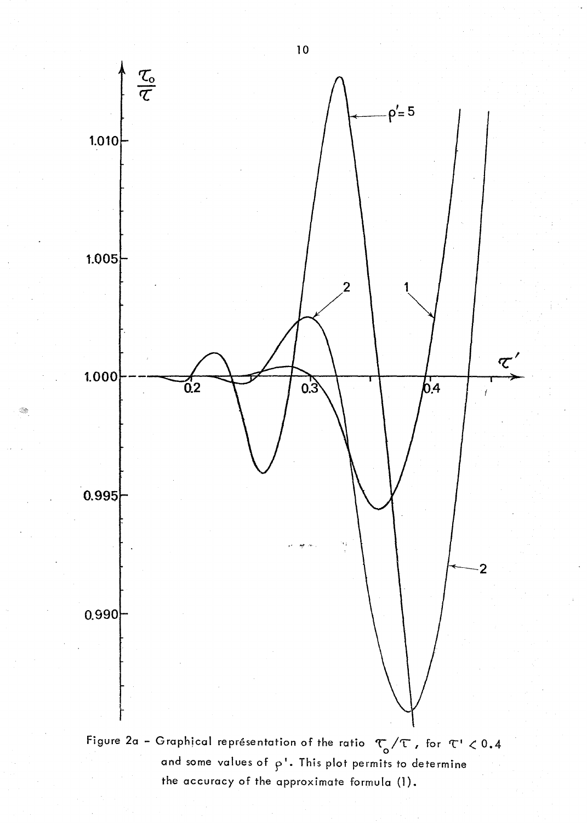

 $\mathbb{R}^2$ 

and some values of  $\rho$ <sup>1</sup>. This plot permits to determine the accuracy of the approximate formula (1).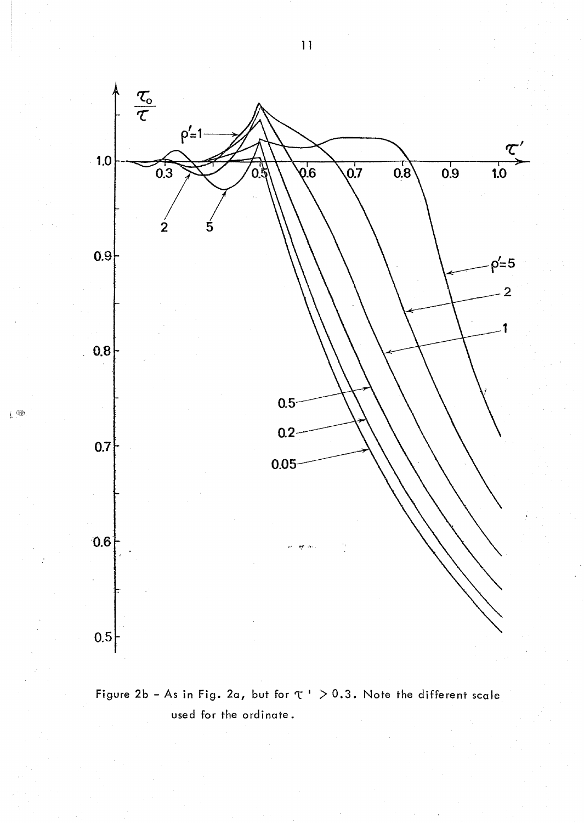

 $\mathsf{L}^{\circledR}$ 



 $\bar{1}$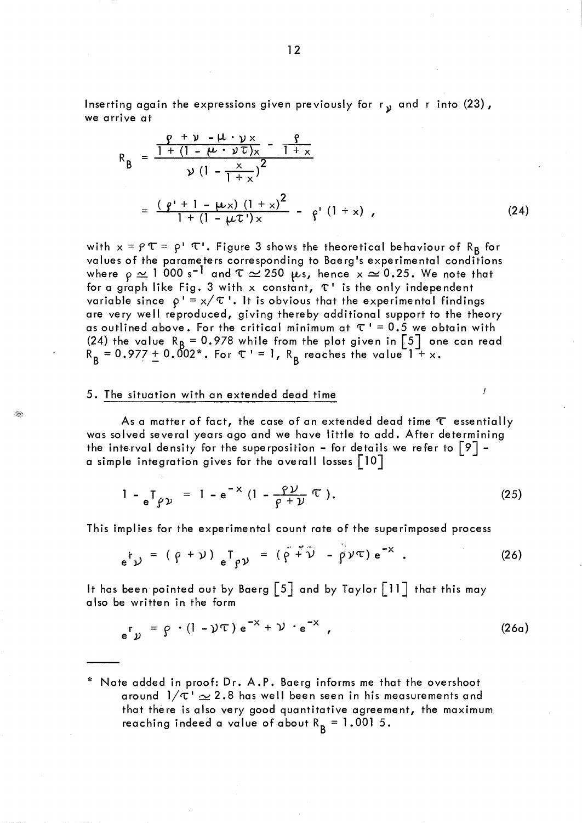Inserting again the expressions given previously for  $r_{\rm y}$  and r into (23), we arrive at

$$
R_{B} = \frac{\frac{\rho + \gamma - \mu \cdot \gamma_{x}}{1 + (1 - \mu \cdot \gamma \tau)_{x}} - \frac{\rho}{1 + x}}{\gamma (1 - \frac{x}{1 + x})^{2}}
$$
  
= 
$$
\frac{(\rho' + 1 - \mu x)(1 + x)^{2}}{1 + (1 - \mu \tau')_{x}} - \rho' (1 + x) ,
$$
 (24)

with  $x = \rho \tau = \rho' \tau'$ . Figure 3 shows the theoretical behaviour of R<sub>B</sub> for values of the parameters corresponding to Baerg's experimental conditions where  $\rho\simeq$  1 000 s<sup>-1</sup> and T  $\simeq$  250  $\mu$ s, hence x  $\simeq$  0.25. We note that for a graph like Fig. 3 with x constant,  $\tau$ <sup>1</sup> is the only independent variable since  $\rho' = x/\tau'$ . It is obvious that the experimental findings are very well reproduced, giving thereby additional support to the theory as outlined above. For the critical minimum at  $\tau$  ' = 0.5 we obtain with (24) the value R<sub>B</sub> = 0.978 while from the plot given in [5] one can read  $R_B = 0.977 \pm 0.002$ \*. For  $\tau = 1$ ,  $R_B$  reaches the value 1 + x.

## 5. The situation with an extended dead time

Q.

As a matter of fact, the case of an extended dead time  $\tau$  essentially was solved several years ago and we have little to add. After determining the interval density for the superposition - for details we refer to  $\lceil 9 \rceil$  a simple integration gives for the overall losses  $\lceil 10 \rceil$ 

$$
1 - e^{\mathsf{T}} \varrho \nu = 1 - e^{-x} \left( 1 - \frac{\varrho \nu}{\varrho + \nu} \mathsf{T} \right). \tag{25}
$$

f

This implies for the experimental count rate of the superimposed process

$$
e^{\dagger} y = (\rho + \nu) e^{\dagger} \rho y = (\rho + \nu) - \rho \nu \tau e^{-x}.
$$
 (26)

It has been pointed out by Baerg  $\lceil 5 \rceil$  and by Taylor  $\lceil 11 \rceil$  that this may also be written in the form

$$
e^{r} y = \beta \cdot (1 - \gamma \tau) e^{-x} + \gamma \cdot e^{-x}, \qquad (26a)
$$

<sup>\*</sup> Note added in proof: Dr. A.P. Baerg informs me that the overshoot around  $1/\tau \simeq 2.8$  has well been seen in his measurements and that thére is also very good quantitative agreement, the maximum reaching indeed a value of about  $R_B = 1.0015$ .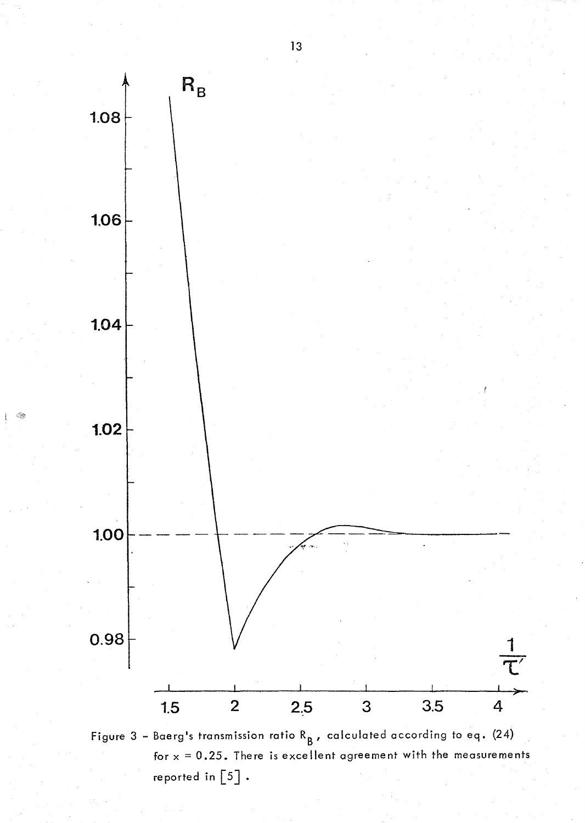

- Q

Figure 3 - Baerg's transmission ratio  $R_{B}$ , calculated according to eq. (24) for  $x = 0.25$ . There is excellent agreement with the measurements reported in  $\begin{bmatrix} 5 \end{bmatrix}$ .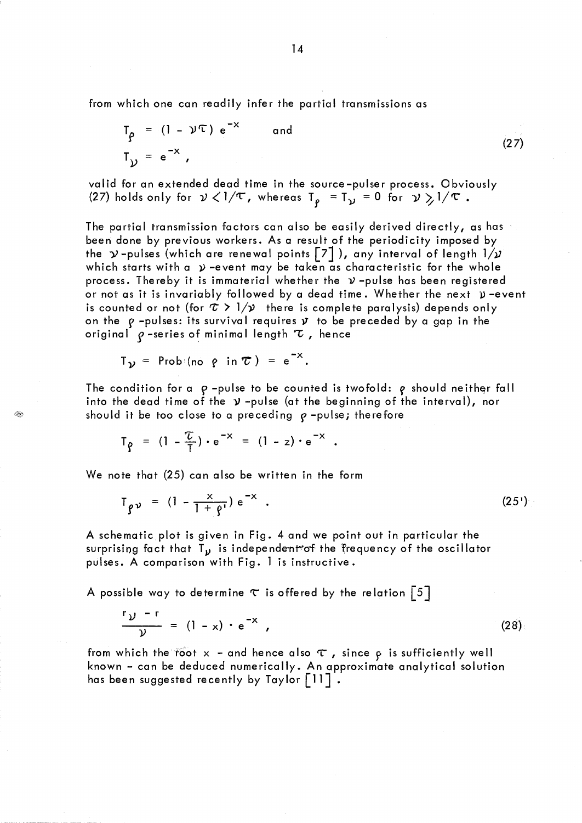from which one can readily infer the partial transmissions as

$$
T_{\rho} = (1 - \nu)^{\tau} e^{-x} \qquad \text{and}
$$
  
\n
$$
T_{\rho} = e^{-x}, \qquad (27)
$$

valid for an extended dead time in the source-pulser process. Obviously (27) holds only for  $\nu < 1/\tau$ , whereas T<sub>e</sub> = T<sub>y</sub> = 0 for  $\nu > 1/\tau$ .

The partial transmission factors can also be easily derived directly, as has been done by previous workers. As a result of the periodicity imposed by the  $\gamma$ -pulses (which are renewal points  $\lceil 7 \rceil$ ), any interval of length  $1/\gamma$ which starts with a  $\nu$  -event may be taken as characteristic for the whole process. Thereby it is immaterial whether the  $\nu$ -pulse has been registered or not as it is invariably followed by a dead time. Whether the next  $\mathfrak p$  -event is counted or not (for  $\tau > 1/\nu$  there is complete paralysis) depends only on the  $\rho$  -pulses: its survival requires  $\mathbf v$  to be preceded by a gap in the original  $\varphi$  -series of minimal length  $\tau$ , hence

$$
T_{\gamma}
$$
 = Prob $(no \rho in \tau) = e^{-x}$ .

Q.

The condition for a  $\rho$ -pulse to be counted is twofold:  $\rho$  should neither fall into the dead time of the  $\gamma$  -pulse (at the beginning of the interval), nor should it be too close to a preceding  $\rho$  -pulse; therefore

$$
T_{\rho} = (1 - \frac{\tau}{l}) \cdot e^{-x} = (1 - z) \cdot e^{-x}.
$$

We note that (25) can also be written in the form

$$
T_{\rho\nu} = (1 - \frac{x}{1 + \rho}) e^{-x} \quad . \tag{25'}
$$

A schematic plot is given in Fig. 4 and we point out in particular the surprising fact that  $T_{\nu}$  is independent of the frequency of the oscillator pulses. A comparison with Fig. 1 is instructive.

A possible way to determine  $\tau$  is offered by the relation  $\vert 5\vert$ 

$$
\frac{r_{\mathcal{Y}} - r}{\mathcal{Y}} = (1 - x) \cdot e^{-x} \tag{28}
$$

from which the root  $x$  - and hence also  $\tau$  , since  $\varphi$  is sufficiently well known - can be deduced numerically. An approximate analytical solution has been suggested recently by Taylor [11].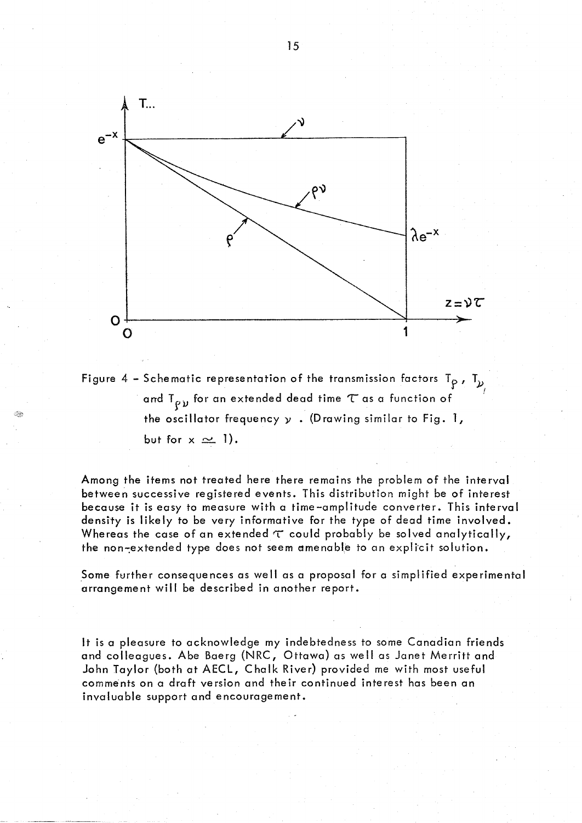



Among the items not treated here there remains the problem of the interval between successive registered events. This distribution might be of interest because it is easy to measure with a time-amplitude converter. This interval density is likely to be very informative for the type of dead time involved. Whereas the case of an extended  $\tau$  could probably be solved analytically, the non-extended type does not seem amenable to an explicit solution.

Some further consequences as well as a proposal for a simplified experimental arrangement will be described in another report.

It is a pleasure to acknowledge my indebtedness to some Canadian friends and colleagues. Abe Baerg (NRC, Ottawa) as well as Janet Merritt and John Taylor (both at AECL, Chalk River) provided me with most useful comments on a draft version and their continued interest has been an invaluable support and encouragement.